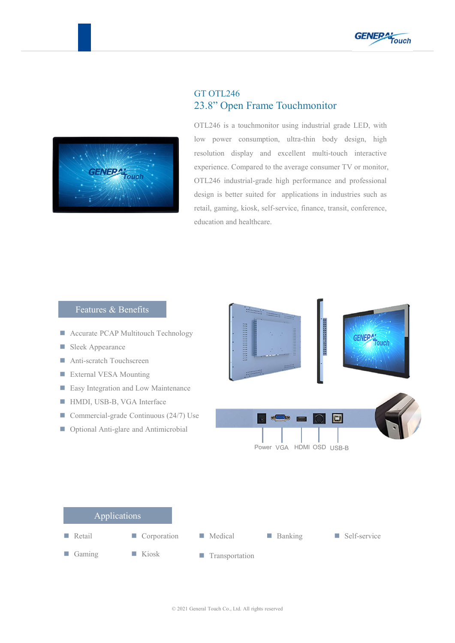



## GT OTL246 23.8" Open Frame Touchmonitor

OTL246 is a touchmonitor using industrial grade LED, with low power consumption, ultra-thin body design, high resolution display and excellent multi-touch interactive experience. Compared to the average consumer TV or monitor, OTL246 industrial-grade high performance and professional design is better suited for applications in industries such as retail, gaming, kiosk, self-service, finance, transit, conference, education and healthcare.

## Features & Benefits

- **Accurate PCAP Multitouch Technology**
- Sleek Appearance
- Anti-scratch Touchscreen
- **External VESA Mounting**
- **Easy Integration and Low Maintenance**
- HMDI, USB-B, VGA Interface
- Commercial-grade Continuous  $(24/7)$  Use
- Optional Anti-glare and Antimicrobial



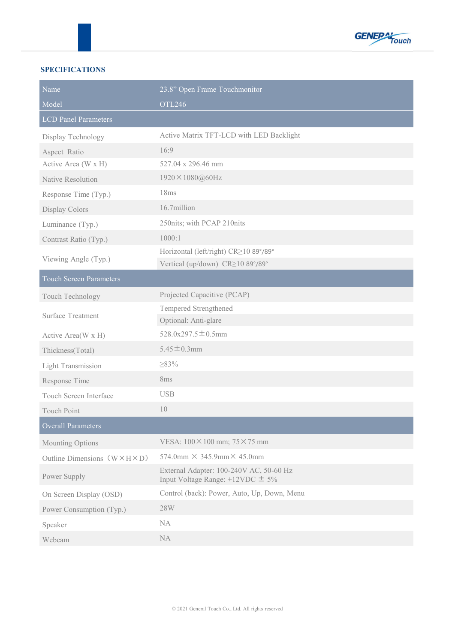

## **SPECIFICATIONS**

| Name                                       | 23.8" Open Frame Touchmonitor                                                      |  |  |
|--------------------------------------------|------------------------------------------------------------------------------------|--|--|
| Model                                      | <b>OTL246</b>                                                                      |  |  |
| <b>LCD Panel Parameters</b>                |                                                                                    |  |  |
| Display Technology                         | Active Matrix TFT-LCD with LED Backlight                                           |  |  |
| Aspect Ratio                               | 16:9                                                                               |  |  |
| Active Area (W x H)                        | 527.04 x 296.46 mm                                                                 |  |  |
| <b>Native Resolution</b>                   | 1920×1080@60Hz                                                                     |  |  |
| Response Time (Typ.)                       | 18ms                                                                               |  |  |
| Display Colors                             | 16.7million                                                                        |  |  |
| Luminance (Typ.)                           | 250nits; with PCAP 210nits                                                         |  |  |
| Contrast Ratio (Typ.)                      | 1000:1                                                                             |  |  |
| Viewing Angle (Typ.)                       | Horizontal (left/right) CR≥10 89°/89°                                              |  |  |
|                                            | Vertical (up/down) CR≥10 89°/89°                                                   |  |  |
| <b>Touch Screen Parameters</b>             |                                                                                    |  |  |
| Touch Technology                           | Projected Capacitive (PCAP)                                                        |  |  |
| <b>Surface Treatment</b>                   | Tempered Strengthened                                                              |  |  |
|                                            | Optional: Anti-glare                                                               |  |  |
| Active Area(W x H)                         | $528.0x297.5 \pm 0.5mm$                                                            |  |  |
| Thickness(Total)                           | $5.45 \pm 0.3$ mm                                                                  |  |  |
| <b>Light Transmission</b>                  | $\geq$ 83%                                                                         |  |  |
| Response Time                              | 8ms                                                                                |  |  |
| Touch Screen Interface                     | <b>USB</b>                                                                         |  |  |
| <b>Touch Point</b>                         | 10                                                                                 |  |  |
| Overall Parameters                         |                                                                                    |  |  |
| Mounting Options                           | VESA: 100 × 100 mm; 75 × 75 mm                                                     |  |  |
| Outline Dimensions $(W \times H \times D)$ | $574.0$ mm $\times$ 345.9mm $\times$ 45.0mm                                        |  |  |
| Power Supply                               | External Adapter: 100-240V AC, 50-60 Hz<br>Input Voltage Range: $+12$ VDC $\pm$ 5% |  |  |
| On Screen Display (OSD)                    | Control (back): Power, Auto, Up, Down, Menu                                        |  |  |
| Power Consumption (Typ.)                   | 28W                                                                                |  |  |
| Speaker                                    | NA                                                                                 |  |  |
| Webcam                                     | NA                                                                                 |  |  |